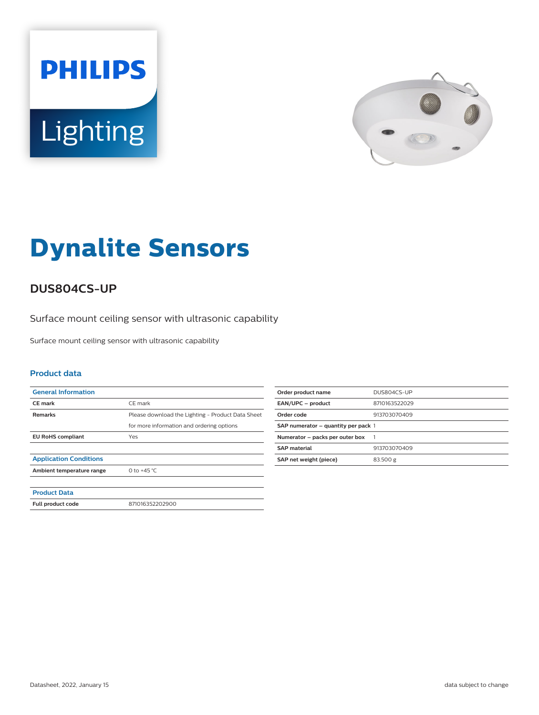



# **Dynalite Sensors**

## **DUS804CS-UP**

Surface mount ceiling sensor with ultrasonic capability

Surface mount ceiling sensor with ultrasonic capability

#### **Product data**

| <b>General Information</b>    |                                                   |
|-------------------------------|---------------------------------------------------|
| <b>CE</b> mark                | CE mark                                           |
| <b>Remarks</b>                | Please download the Lighting - Product Data Sheet |
|                               | for more information and ordering options         |
| <b>EU RoHS compliant</b>      | Yes                                               |
|                               |                                                   |
| <b>Application Conditions</b> |                                                   |
| Ambient temperature range     | 0 to $+45$ °C                                     |
|                               |                                                   |
| <b>Product Data</b>           |                                                   |
| Full product code             | 871016352202900                                   |

| Order product name                  | DUS804CS-UP   |
|-------------------------------------|---------------|
| EAN/UPC - product                   | 8710163522029 |
| Order code                          | 913703070409  |
| SAP numerator - quantity per pack 1 |               |
| Numerator - packs per outer box     |               |
| <b>SAP</b> material                 | 913703070409  |
| SAP net weight (piece)              | 83.500 g      |
|                                     |               |